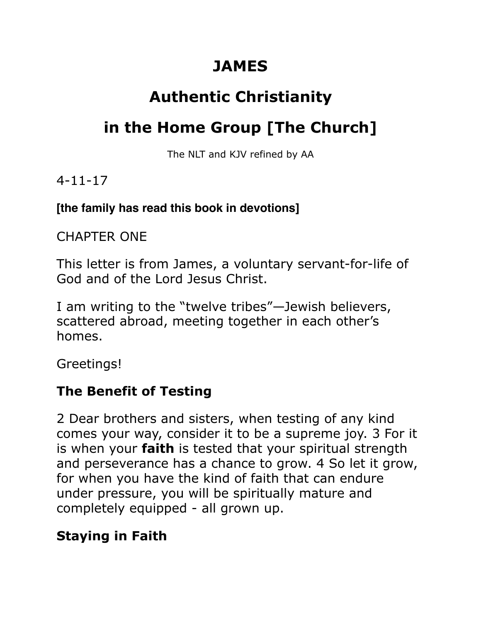# **JAMES**

# **Authentic Christianity**

# **in the Home Group [The Church]**

The NLT and KJV refined by AA

### 4-11-17

#### **[the family has read this book in devotions]**

## CHAPTER ONE

This letter is from James, a voluntary servant-for-life of God and of the Lord Jesus Christ.

I am writing to the "twelve tribes"—Jewish believers, scattered abroad, meeting together in each other's homes.

Greetings!

# **The Benefit of Testing**

2 Dear brothers and sisters, when testing of any kind comes your way, consider it to be a supreme joy. 3 For it is when your **faith** is tested that your spiritual strength and perseverance has a chance to grow. 4 So let it grow, for when you have the kind of faith that can endure under pressure, you will be spiritually mature and completely equipped - all grown up.

# **Staying in Faith**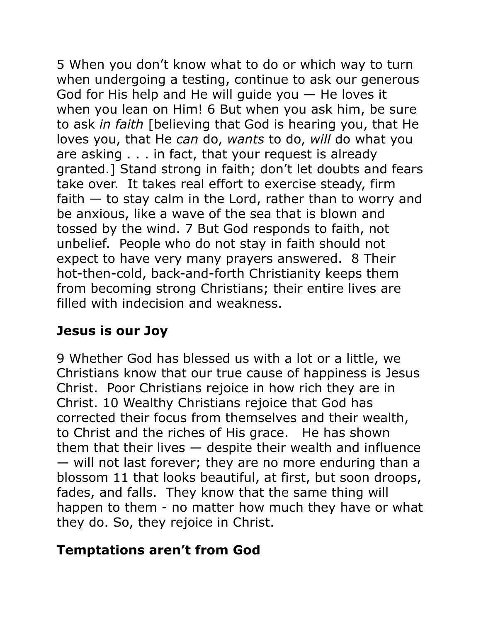5 When you don't know what to do or which way to turn when undergoing a testing, continue to ask our generous God for His help and He will quide you  $-$  He loves it when you lean on Him! 6 But when you ask him, be sure to ask *in faith* [believing that God is hearing you, that He loves you, that He *can* do, *wants* to do, *will* do what you are asking . . . in fact, that your request is already granted.] Stand strong in faith; don't let doubts and fears take over. It takes real effort to exercise steady, firm faith  $-$  to stay calm in the Lord, rather than to worry and be anxious, like a wave of the sea that is blown and tossed by the wind. 7 But God responds to faith, not unbelief. People who do not stay in faith should not expect to have very many prayers answered. 8 Their hot-then-cold, back-and-forth Christianity keeps them from becoming strong Christians; their entire lives are filled with indecision and weakness.

## **Jesus is our Joy**

9 Whether God has blessed us with a lot or a little, we Christians know that our true cause of happiness is Jesus Christ. Poor Christians rejoice in how rich they are in Christ. 10 Wealthy Christians rejoice that God has corrected their focus from themselves and their wealth, to Christ and the riches of His grace. He has shown them that their lives  $-$  despite their wealth and influence — will not last forever; they are no more enduring than a blossom 11 that looks beautiful, at first, but soon droops, fades, and falls. They know that the same thing will happen to them - no matter how much they have or what they do. So, they rejoice in Christ.

#### **Temptations aren't from God**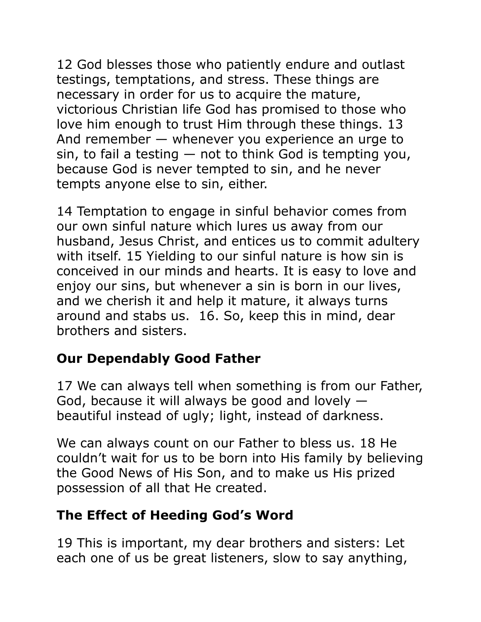12 God blesses those who patiently endure and outlast testings, temptations, and stress. These things are necessary in order for us to acquire the mature, victorious Christian life God has promised to those who love him enough to trust Him through these things. 13 And remember — whenever you experience an urge to  $sin$ , to fail a testing  $-$  not to think God is tempting you, because God is never tempted to sin, and he never tempts anyone else to sin, either.

14 Temptation to engage in sinful behavior comes from our own sinful nature which lures us away from our husband, Jesus Christ, and entices us to commit adultery with itself. 15 Yielding to our sinful nature is how sin is conceived in our minds and hearts. It is easy to love and enjoy our sins, but whenever a sin is born in our lives, and we cherish it and help it mature, it always turns around and stabs us. 16. So, keep this in mind, dear brothers and sisters.

## **Our Dependably Good Father**

17 We can always tell when something is from our Father, God, because it will always be good and lovely beautiful instead of ugly; light, instead of darkness.

We can always count on our Father to bless us. 18 He couldn't wait for us to be born into His family by believing the Good News of His Son, and to make us His prized possession of all that He created.

## **The Effect of Heeding God's Word**

19 This is important, my dear brothers and sisters: Let each one of us be great listeners, slow to say anything,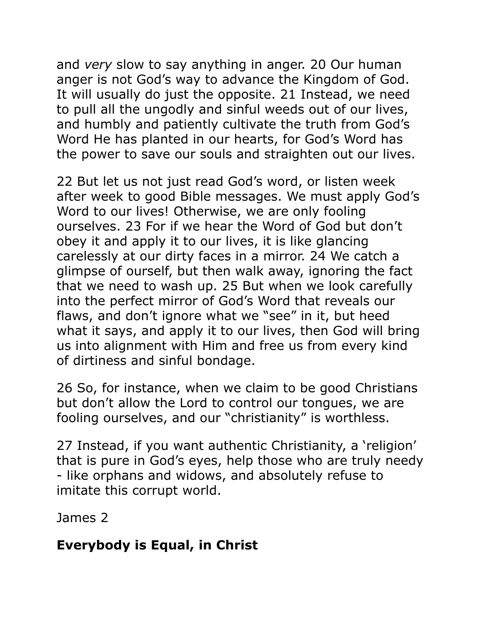and *very* slow to say anything in anger. 20 Our human anger is not God's way to advance the Kingdom of God. It will usually do just the opposite. 21 Instead, we need to pull all the ungodly and sinful weeds out of our lives, and humbly and patiently cultivate the truth from God's Word He has planted in our hearts, for God's Word has the power to save our souls and straighten out our lives.

22 But let us not just read God's word, or listen week after week to good Bible messages. We must apply God's Word to our lives! Otherwise, we are only fooling ourselves. 23 For if we hear the Word of God but don't obey it and apply it to our lives, it is like glancing carelessly at our dirty faces in a mirror. 24 We catch a glimpse of ourself, but then walk away, ignoring the fact that we need to wash up. 25 But when we look carefully into the perfect mirror of God's Word that reveals our flaws, and don't ignore what we "see" in it, but heed what it says, and apply it to our lives, then God will bring us into alignment with Him and free us from every kind of dirtiness and sinful bondage.

26 So, for instance, when we claim to be good Christians but don't allow the Lord to control our tongues, we are fooling ourselves, and our "christianity" is worthless.

27 Instead, if you want authentic Christianity, a 'religion' that is pure in God's eyes, help those who are truly needy - like orphans and widows, and absolutely refuse to imitate this corrupt world.

James 2

## **Everybody is Equal, in Christ**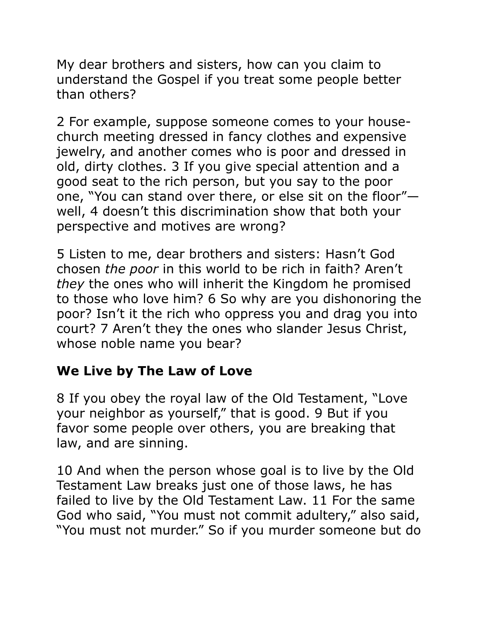My dear brothers and sisters, how can you claim to understand the Gospel if you treat some people better than others?

2 For example, suppose someone comes to your housechurch meeting dressed in fancy clothes and expensive jewelry, and another comes who is poor and dressed in old, dirty clothes. 3 If you give special attention and a good seat to the rich person, but you say to the poor one, "You can stand over there, or else sit on the floor" well, 4 doesn't this discrimination show that both your perspective and motives are wrong?

5 Listen to me, dear brothers and sisters: Hasn't God chosen *the poor* in this world to be rich in faith? Aren't *they* the ones who will inherit the Kingdom he promised to those who love him? 6 So why are you dishonoring the poor? Isn't it the rich who oppress you and drag you into court? 7 Aren't they the ones who slander Jesus Christ, whose noble name you bear?

#### **We Live by The Law of Love**

8 If you obey the royal law of the Old Testament, "Love your neighbor as yourself," that is good. 9 But if you favor some people over others, you are breaking that law, and are sinning.

10 And when the person whose goal is to live by the Old Testament Law breaks just one of those laws, he has failed to live by the Old Testament Law. 11 For the same God who said, "You must not commit adultery," also said, "You must not murder." So if you murder someone but do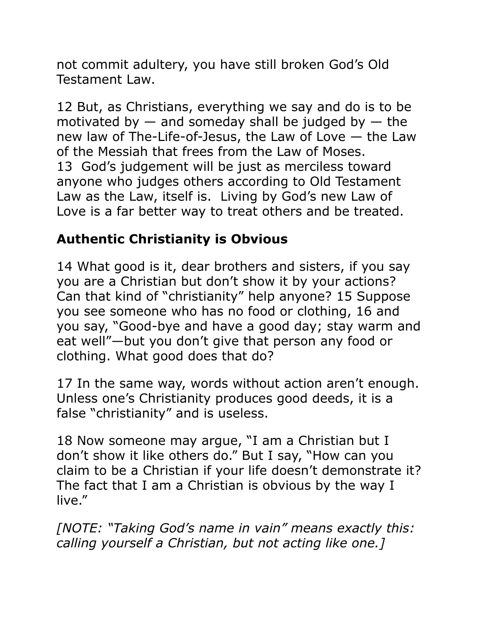not commit adultery, you have still broken God's Old Testament Law.

12 But, as Christians, everything we say and do is to be motivated by  $-$  and someday shall be judged by  $-$  the new law of The-Life-of-Jesus, the Law of Love — the Law of the Messiah that frees from the Law of Moses. 13 God's judgement will be just as merciless toward anyone who judges others according to Old Testament Law as the Law, itself is. Living by God's new Law of Love is a far better way to treat others and be treated.

## **Authentic Christianity is Obvious**

14 What good is it, dear brothers and sisters, if you say you are a Christian but don't show it by your actions? Can that kind of "christianity" help anyone? 15 Suppose you see someone who has no food or clothing, 16 and you say, "Good-bye and have a good day; stay warm and eat well"—but you don't give that person any food or clothing. What good does that do?

17 In the same way, words without action aren't enough. Unless one's Christianity produces good deeds, it is a false "christianity" and is useless.

18 Now someone may argue, "I am a Christian but I don't show it like others do." But I say, "How can you claim to be a Christian if your life doesn't demonstrate it? The fact that I am a Christian is obvious by the way I live."

*[NOTE: "Taking God's name in vain" means exactly this: calling yourself a Christian, but not acting like one.]*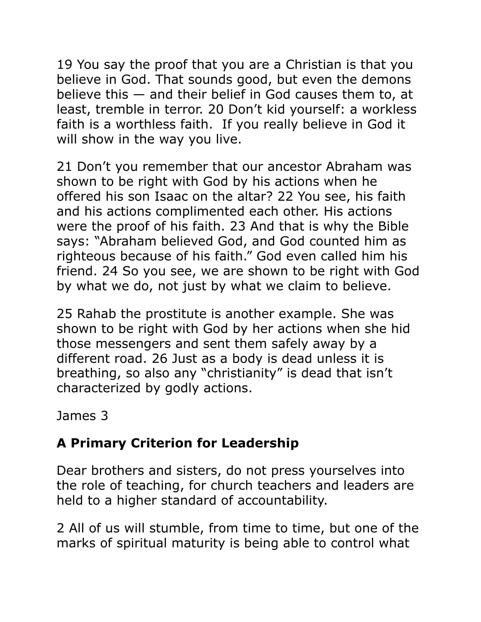19 You say the proof that you are a Christian is that you believe in God. That sounds good, but even the demons believe this — and their belief in God causes them to, at least, tremble in terror. 20 Don't kid yourself: a workless faith is a worthless faith. If you really believe in God it will show in the way you live.

21 Don't you remember that our ancestor Abraham was shown to be right with God by his actions when he offered his son Isaac on the altar? 22 You see, his faith and his actions complimented each other. His actions were the proof of his faith. 23 And that is why the Bible says: "Abraham believed God, and God counted him as righteous because of his faith." God even called him his friend. 24 So you see, we are shown to be right with God by what we do, not just by what we claim to believe.

25 Rahab the prostitute is another example. She was shown to be right with God by her actions when she hid those messengers and sent them safely away by a different road. 26 Just as a body is dead unless it is breathing, so also any "christianity" is dead that isn't characterized by godly actions.

James 3

# **A Primary Criterion for Leadership**

Dear brothers and sisters, do not press yourselves into the role of teaching, for church teachers and leaders are held to a higher standard of accountability.

2 All of us will stumble, from time to time, but one of the marks of spiritual maturity is being able to control what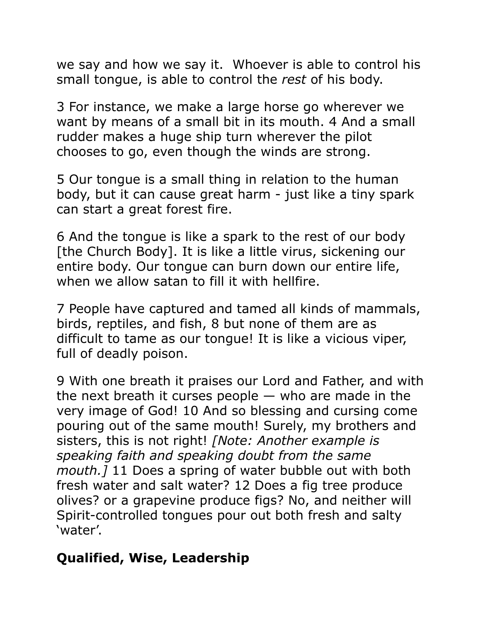we say and how we say it. Whoever is able to control his small tongue, is able to control the *rest* of his body.

3 For instance, we make a large horse go wherever we want by means of a small bit in its mouth. 4 And a small rudder makes a huge ship turn wherever the pilot chooses to go, even though the winds are strong.

5 Our tongue is a small thing in relation to the human body, but it can cause great harm - just like a tiny spark can start a great forest fire.

6 And the tongue is like a spark to the rest of our body [the Church Body]. It is like a little virus, sickening our entire body. Our tongue can burn down our entire life, when we allow satan to fill it with hellfire.

7 People have captured and tamed all kinds of mammals, birds, reptiles, and fish, 8 but none of them are as difficult to tame as our tongue! It is like a vicious viper, full of deadly poison.

9 With one breath it praises our Lord and Father, and with the next breath it curses people  $-$  who are made in the very image of God! 10 And so blessing and cursing come pouring out of the same mouth! Surely, my brothers and sisters, this is not right! *[Note: Another example is speaking faith and speaking doubt from the same mouth.]* 11 Does a spring of water bubble out with both fresh water and salt water? 12 Does a fig tree produce olives? or a grapevine produce figs? No, and neither will Spirit-controlled tongues pour out both fresh and salty 'water'.

#### **Qualified, Wise, Leadership**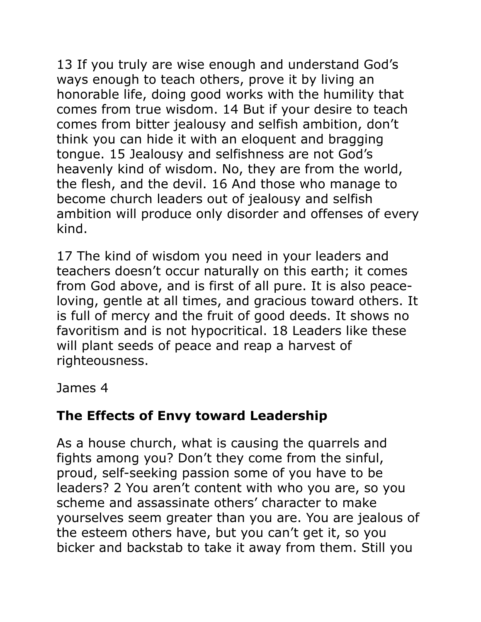13 If you truly are wise enough and understand God's ways enough to teach others, prove it by living an honorable life, doing good works with the humility that comes from true wisdom. 14 But if your desire to teach comes from bitter jealousy and selfish ambition, don't think you can hide it with an eloquent and bragging tongue. 15 Jealousy and selfishness are not God's heavenly kind of wisdom. No, they are from the world, the flesh, and the devil. 16 And those who manage to become church leaders out of jealousy and selfish ambition will produce only disorder and offenses of every kind.

17 The kind of wisdom you need in your leaders and teachers doesn't occur naturally on this earth; it comes from God above, and is first of all pure. It is also peaceloving, gentle at all times, and gracious toward others. It is full of mercy and the fruit of good deeds. It shows no favoritism and is not hypocritical. 18 Leaders like these will plant seeds of peace and reap a harvest of righteousness.

James 4

# **The Effects of Envy toward Leadership**

As a house church, what is causing the quarrels and fights among you? Don't they come from the sinful, proud, self-seeking passion some of you have to be leaders? 2 You aren't content with who you are, so you scheme and assassinate others' character to make yourselves seem greater than you are. You are jealous of the esteem others have, but you can't get it, so you bicker and backstab to take it away from them. Still you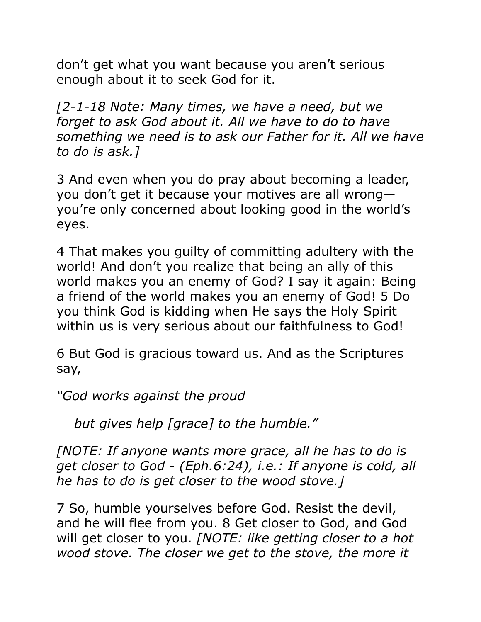don't get what you want because you aren't serious enough about it to seek God for it.

*[2-1-18 Note: Many times, we have a need, but we forget to ask God about it. All we have to do to have something we need is to ask our Father for it. All we have to do is ask.]* 

3 And even when you do pray about becoming a leader, you don't get it because your motives are all wrong you're only concerned about looking good in the world's eyes.

4 That makes you guilty of committing adultery with the world! And don't you realize that being an ally of this world makes you an enemy of God? I say it again: Being a friend of the world makes you an enemy of God! 5 Do you think God is kidding when He says the Holy Spirit within us is very serious about our faithfulness to God!

6 But God is gracious toward us. And as the Scriptures say,

*"God works against the proud* 

 *but gives help [grace] to the humble."*

*[NOTE: If anyone wants more grace, all he has to do is get closer to God - (Eph.6:24), i.e.: If anyone is cold, all he has to do is get closer to the wood stove.]* 

7 So, humble yourselves before God. Resist the devil, and he will flee from you. 8 Get closer to God, and God will get closer to you. *[NOTE: like getting closer to a hot wood stove. The closer we get to the stove, the more it*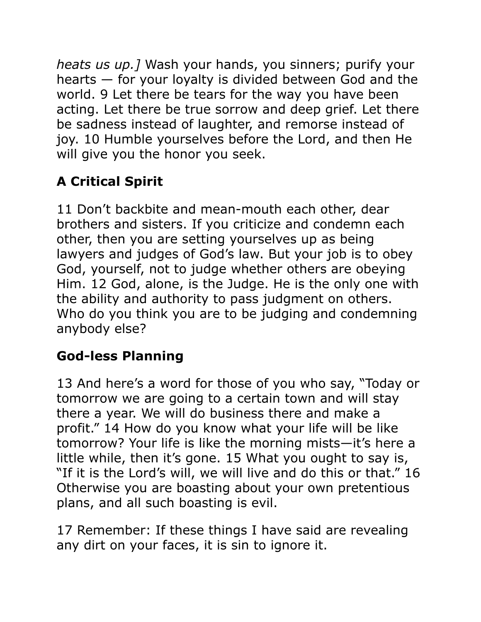*heats us up.]* Wash your hands, you sinners; purify your hearts — for your loyalty is divided between God and the world. 9 Let there be tears for the way you have been acting. Let there be true sorrow and deep grief. Let there be sadness instead of laughter, and remorse instead of joy. 10 Humble yourselves before the Lord, and then He will give you the honor you seek.

# **A Critical Spirit**

11 Don't backbite and mean-mouth each other, dear brothers and sisters. If you criticize and condemn each other, then you are setting yourselves up as being lawyers and judges of God's law. But your job is to obey God, yourself, not to judge whether others are obeying Him. 12 God, alone, is the Judge. He is the only one with the ability and authority to pass judgment on others. Who do you think you are to be judging and condemning anybody else?

# **God-less Planning**

13 And here's a word for those of you who say, "Today or tomorrow we are going to a certain town and will stay there a year. We will do business there and make a profit." 14 How do you know what your life will be like tomorrow? Your life is like the morning mists—it's here a little while, then it's gone. 15 What you ought to say is, "If it is the Lord's will, we will live and do this or that." 16 Otherwise you are boasting about your own pretentious plans, and all such boasting is evil.

17 Remember: If these things I have said are revealing any dirt on your faces, it is sin to ignore it.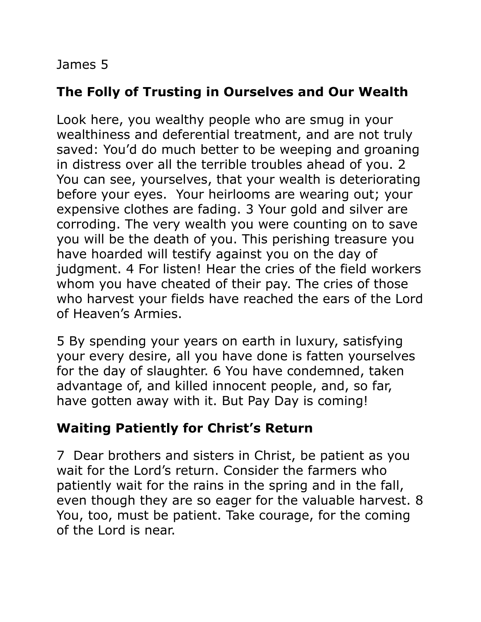#### James 5

## **The Folly of Trusting in Ourselves and Our Wealth**

Look here, you wealthy people who are smug in your wealthiness and deferential treatment, and are not truly saved: You'd do much better to be weeping and groaning in distress over all the terrible troubles ahead of you. 2 You can see, yourselves, that your wealth is deteriorating before your eyes. Your heirlooms are wearing out; your expensive clothes are fading. 3 Your gold and silver are corroding. The very wealth you were counting on to save you will be the death of you. This perishing treasure you have hoarded will testify against you on the day of judgment. 4 For listen! Hear the cries of the field workers whom you have cheated of their pay. The cries of those who harvest your fields have reached the ears of the Lord of Heaven's Armies.

5 By spending your years on earth in luxury, satisfying your every desire, all you have done is fatten yourselves for the day of slaughter. 6 You have condemned, taken advantage of, and killed innocent people, and, so far, have gotten away with it. But Pay Day is coming!

## **Waiting Patiently for Christ's Return**

7 Dear brothers and sisters in Christ, be patient as you wait for the Lord's return. Consider the farmers who patiently wait for the rains in the spring and in the fall, even though they are so eager for the valuable harvest. 8 You, too, must be patient. Take courage, for the coming of the Lord is near.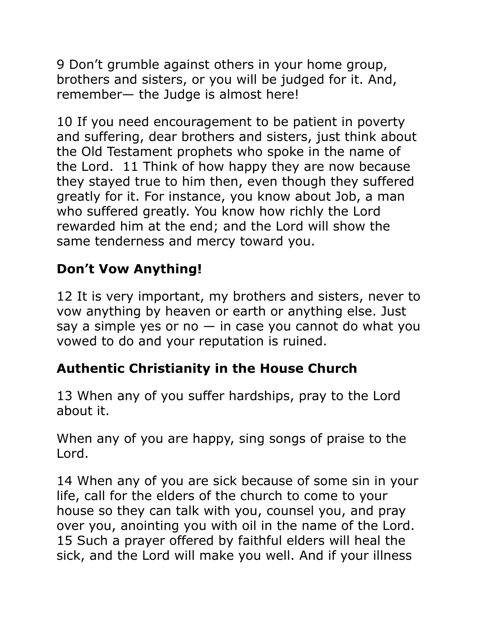9 Don't grumble against others in your home group, brothers and sisters, or you will be judged for it. And, remember— the Judge is almost here!

10 If you need encouragement to be patient in poverty and suffering, dear brothers and sisters, just think about the Old Testament prophets who spoke in the name of the Lord. 11 Think of how happy they are now because they stayed true to him then, even though they suffered greatly for it. For instance, you know about Job, a man who suffered greatly. You know how richly the Lord rewarded him at the end; and the Lord will show the same tenderness and mercy toward you.

# **Don't Vow Anything!**

12 It is very important, my brothers and sisters, never to vow anything by heaven or earth or anything else. Just say a simple yes or no  $-$  in case you cannot do what you vowed to do and your reputation is ruined.

## **Authentic Christianity in the House Church**

13 When any of you suffer hardships, pray to the Lord about it.

When any of you are happy, sing songs of praise to the Lord.

14 When any of you are sick because of some sin in your life, call for the elders of the church to come to your house so they can talk with you, counsel you, and pray over you, anointing you with oil in the name of the Lord. 15 Such a prayer offered by faithful elders will heal the sick, and the Lord will make you well. And if your illness